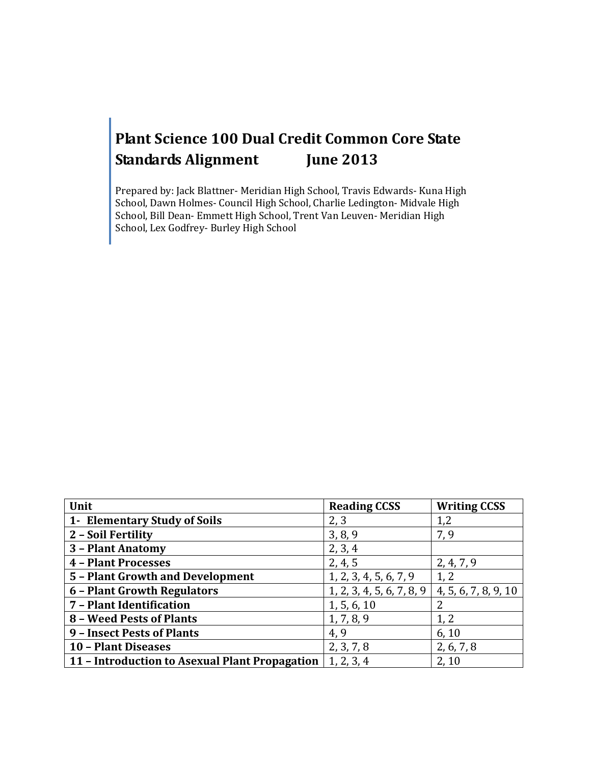# **Plant Science 100 Dual Credit Common Core State Standards Alignment June 2013**

Prepared by: Jack Blattner- Meridian High School, Travis Edwards- Kuna High School, Dawn Holmes- Council High School, Charlie Ledington- Midvale High School, Bill Dean- Emmett High School, Trent Van Leuven- Meridian High School, Lex Godfrey- Burley High School

| Unit                                           | <b>Reading CCSS</b>       | <b>Writing CCSS</b>  |
|------------------------------------------------|---------------------------|----------------------|
| 1- Elementary Study of Soils                   | 2, 3                      | 1,2                  |
| 2 - Soil Fertility                             | 3, 8, 9                   | 7, 9                 |
| 3 - Plant Anatomy                              | 2, 3, 4                   |                      |
| <b>4 - Plant Processes</b>                     | 2, 4, 5                   | 2, 4, 7, 9           |
| 5 - Plant Growth and Development               | 1, 2, 3, 4, 5, 6, 7, 9    | 1, 2                 |
| 6 - Plant Growth Regulators                    | 1, 2, 3, 4, 5, 6, 7, 8, 9 | 4, 5, 6, 7, 8, 9, 10 |
| 7 - Plant Identification                       | 1, 5, 6, 10               |                      |
| 8 - Weed Pests of Plants                       | 1, 7, 8, 9                | 1, 2                 |
| 9 - Insect Pests of Plants                     | 4.9                       | 6, 10                |
| 10 - Plant Diseases                            | 2, 3, 7, 8                | 2, 6, 7, 8           |
| 11 - Introduction to Asexual Plant Propagation | 1, 2, 3, 4                | 2, 10                |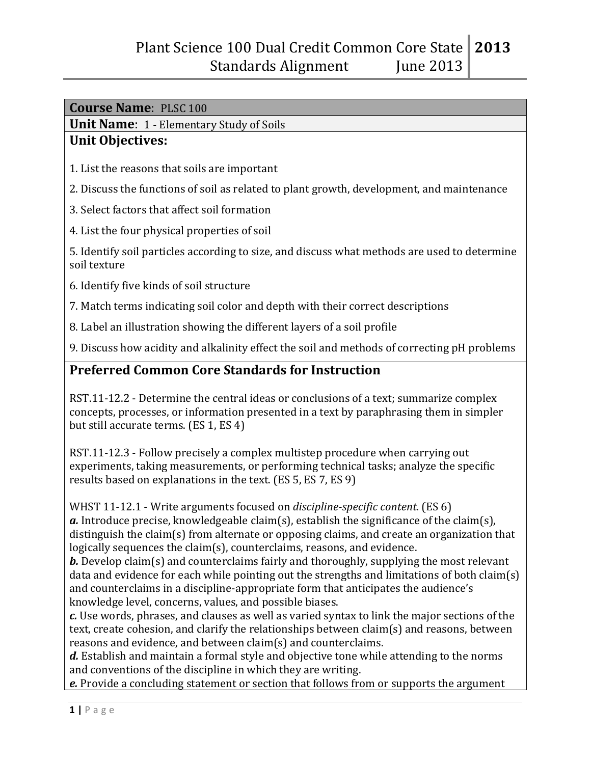| <b>Course Name: PLSC 100</b>                                                                                                                                                                                                                                                        |
|-------------------------------------------------------------------------------------------------------------------------------------------------------------------------------------------------------------------------------------------------------------------------------------|
| <b>Unit Name: 1 - Elementary Study of Soils</b>                                                                                                                                                                                                                                     |
| <b>Unit Objectives:</b>                                                                                                                                                                                                                                                             |
|                                                                                                                                                                                                                                                                                     |
| 1. List the reasons that soils are important                                                                                                                                                                                                                                        |
| 2. Discuss the functions of soil as related to plant growth, development, and maintenance                                                                                                                                                                                           |
| 3. Select factors that affect soil formation                                                                                                                                                                                                                                        |
| 4. List the four physical properties of soil                                                                                                                                                                                                                                        |
| 5. Identify soil particles according to size, and discuss what methods are used to determine<br>soil texture                                                                                                                                                                        |
| 6. Identify five kinds of soil structure                                                                                                                                                                                                                                            |
| 7. Match terms indicating soil color and depth with their correct descriptions                                                                                                                                                                                                      |
| 8. Label an illustration showing the different layers of a soil profile                                                                                                                                                                                                             |
| 9. Discuss how acidity and alkalinity effect the soil and methods of correcting pH problems                                                                                                                                                                                         |
| <b>Preferred Common Core Standards for Instruction</b>                                                                                                                                                                                                                              |
| RST.11-12.2 - Determine the central ideas or conclusions of a text; summarize complex<br>concepts, processes, or information presented in a text by paraphrasing them in simpler<br>but still accurate terms. (ES 1, ES 4)                                                          |
| RST.11-12.3 - Follow precisely a complex multistep procedure when carrying out<br>experiments, taking measurements, or performing technical tasks; analyze the specific<br>results based on explanations in the text. (ES 5, ES 7, ES 9)                                            |
| WHST 11-12.1 - Write arguments focused on <i>discipline-specific content.</i> (ES 6)<br>$a$ . Introduce precise, knowledgeable claim(s), establish the significance of the claim(s),<br>distinguish the claim(s) from alternate or opposing claims, and create an organization that |

logically sequences the claim(s), counterclaims, reasons, and evidence.

*b.* Develop claim(s) and counterclaims fairly and thoroughly, supplying the most relevant data and evidence for each while pointing out the strengths and limitations of both claim(s) and counterclaims in a discipline-appropriate form that anticipates the audience's knowledge level, concerns, values, and possible biases.

*c.* Use words, phrases, and clauses as well as varied syntax to link the major sections of the text, create cohesion, and clarify the relationships between claim(s) and reasons, between reasons and evidence, and between claim(s) and counterclaims.

*d.* Establish and maintain a formal style and objective tone while attending to the norms and conventions of the discipline in which they are writing.

*e.* Provide a concluding statement or section that follows from or supports the argument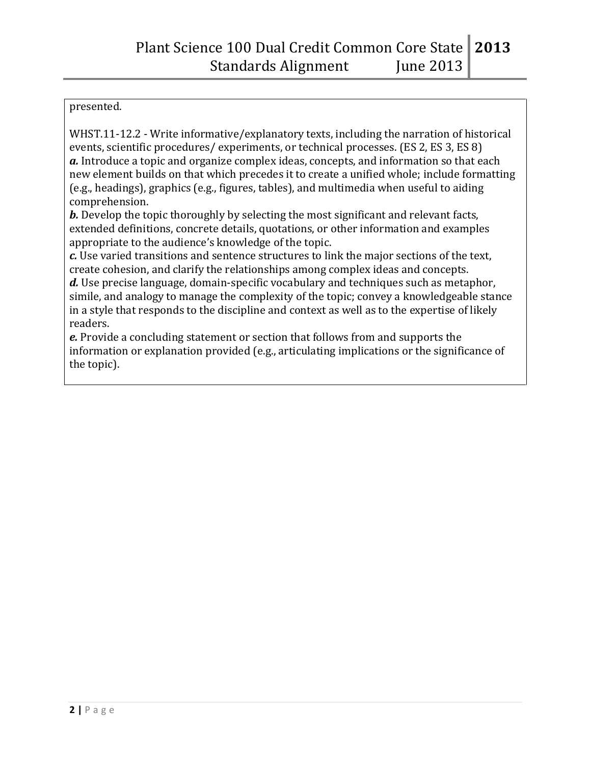#### presented.

WHST.11-12.2 - Write informative/explanatory texts, including the narration of historical events, scientific procedures/ experiments, or technical processes. (ES 2, ES 3, ES 8) *a.* Introduce a topic and organize complex ideas, concepts, and information so that each new element builds on that which precedes it to create a unified whole; include formatting (e.g., headings), graphics (e.g., figures, tables), and multimedia when useful to aiding comprehension.

*b*. Develop the topic thoroughly by selecting the most significant and relevant facts, extended definitions, concrete details, quotations, or other information and examples appropriate to the audience's knowledge of the topic.

*c.* Use varied transitions and sentence structures to link the major sections of the text, create cohesion, and clarify the relationships among complex ideas and concepts.

*d.* Use precise language, domain-specific vocabulary and techniques such as metaphor, simile, and analogy to manage the complexity of the topic; convey a knowledgeable stance in a style that responds to the discipline and context as well as to the expertise of likely readers.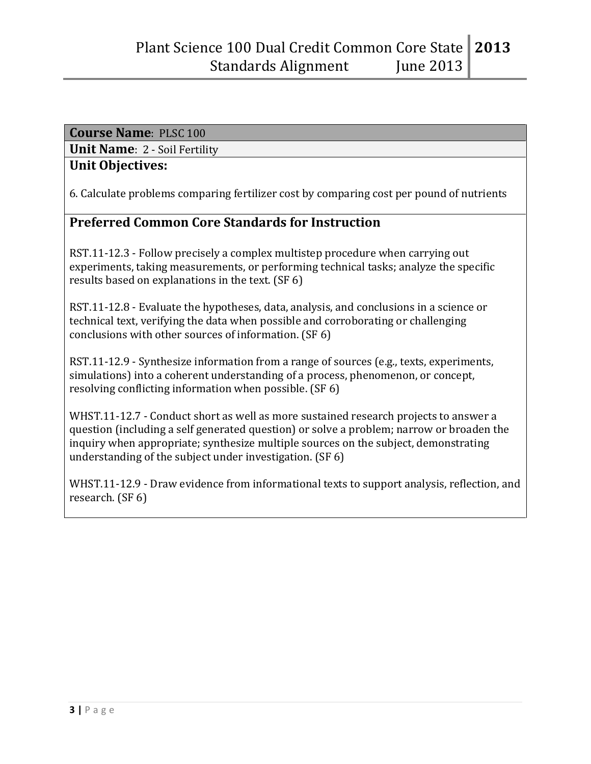### **Course Name**: PLSC 100

**Unit Name**: 2 - Soil Fertility **Unit Objectives:**

6. Calculate problems comparing fertilizer cost by comparing cost per pound of nutrients

### **Preferred Common Core Standards for Instruction**

RST.11-12.3 - Follow precisely a complex multistep procedure when carrying out experiments, taking measurements, or performing technical tasks; analyze the specific results based on explanations in the text. (SF 6)

RST.11-12.8 - Evaluate the hypotheses, data, analysis, and conclusions in a science or technical text, verifying the data when possible and corroborating or challenging conclusions with other sources of information. (SF 6)

RST.11-12.9 - Synthesize information from a range of sources (e.g., texts, experiments, simulations) into a coherent understanding of a process, phenomenon, or concept, resolving conflicting information when possible. (SF 6)

WHST.11-12.7 - Conduct short as well as more sustained research projects to answer a question (including a self generated question) or solve a problem; narrow or broaden the inquiry when appropriate; synthesize multiple sources on the subject, demonstrating understanding of the subject under investigation. (SF 6)

WHST.11-12.9 - Draw evidence from informational texts to support analysis, reflection, and research. (SF 6)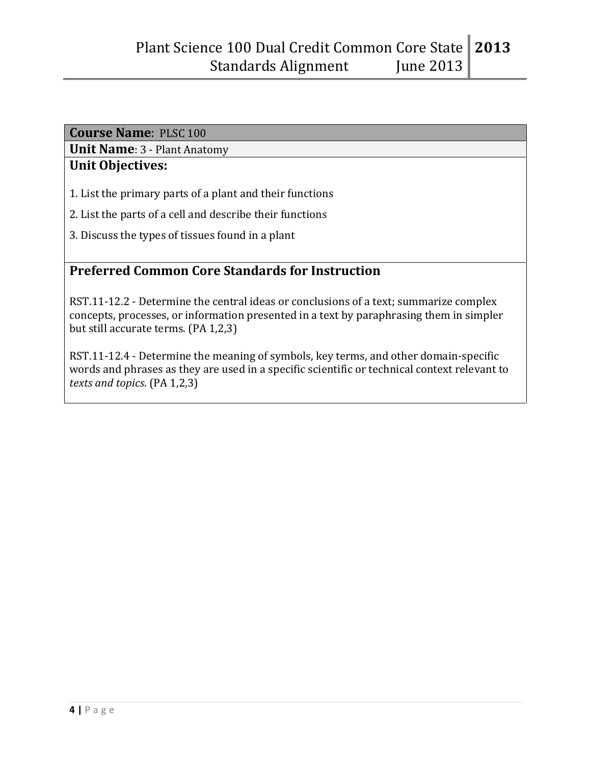### **Course Name**: PLSC 100 **Unit Name**: 3 - Plant Anatomy **Unit Objectives:**

- 1. List the primary parts of a plant and their functions
- 2. List the parts of a cell and describe their functions
- 3. Discuss the types of tissues found in a plant

### **Preferred Common Core Standards for Instruction**

RST.11-12.2 - Determine the central ideas or conclusions of a text; summarize complex concepts, processes, or information presented in a text by paraphrasing them in simpler but still accurate terms. (PA 1,2,3)

RST.11-12.4 - Determine the meaning of symbols, key terms, and other domain-specific words and phrases as they are used in a specific scientific or technical context relevant to *texts and topics*. (PA 1,2,3)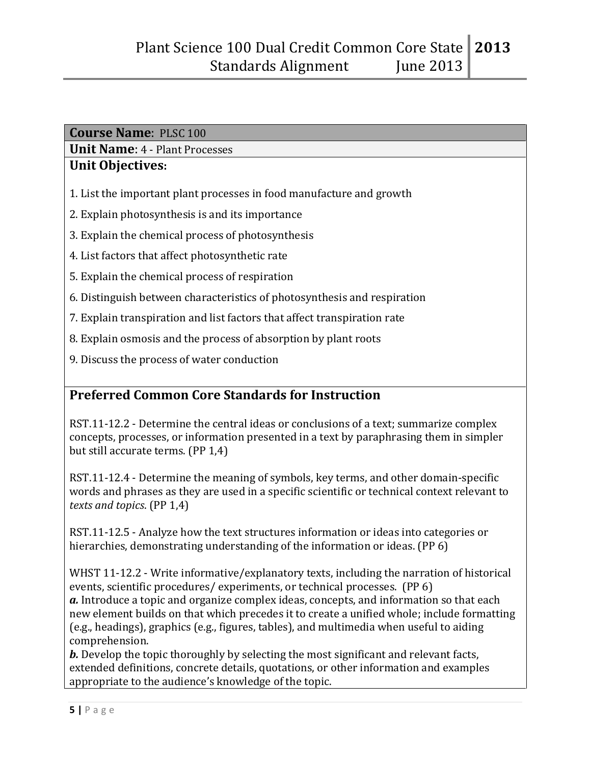### **Course Name**: PLSC 100

### **Unit Name**: 4 - Plant Processes **Unit Objectives:**

- 1. List the important plant processes in food manufacture and growth
- 2. Explain photosynthesis is and its importance
- 3. Explain the chemical process of photosynthesis
- 4. List factors that affect photosynthetic rate
- 5. Explain the chemical process of respiration
- 6. Distinguish between characteristics of photosynthesis and respiration
- 7. Explain transpiration and list factors that affect transpiration rate
- 8. Explain osmosis and the process of absorption by plant roots
- 9. Discuss the process of water conduction

### **Preferred Common Core Standards for Instruction**

RST.11-12.2 - Determine the central ideas or conclusions of a text; summarize complex concepts, processes, or information presented in a text by paraphrasing them in simpler but still accurate terms. (PP 1,4)

RST.11-12.4 - Determine the meaning of symbols, key terms, and other domain-specific words and phrases as they are used in a specific scientific or technical context relevant to *texts and topics*. (PP 1,4)

RST.11-12.5 - Analyze how the text structures information or ideas into categories or hierarchies, demonstrating understanding of the information or ideas. (PP 6)

WHST 11-12.2 - Write informative/explanatory texts, including the narration of historical events, scientific procedures/ experiments, or technical processes. (PP 6) *a.* Introduce a topic and organize complex ideas, concepts, and information so that each new element builds on that which precedes it to create a unified whole; include formatting (e.g., headings), graphics (e.g., figures, tables), and multimedia when useful to aiding comprehension.

*b*. Develop the topic thoroughly by selecting the most significant and relevant facts, extended definitions, concrete details, quotations, or other information and examples appropriate to the audience's knowledge of the topic.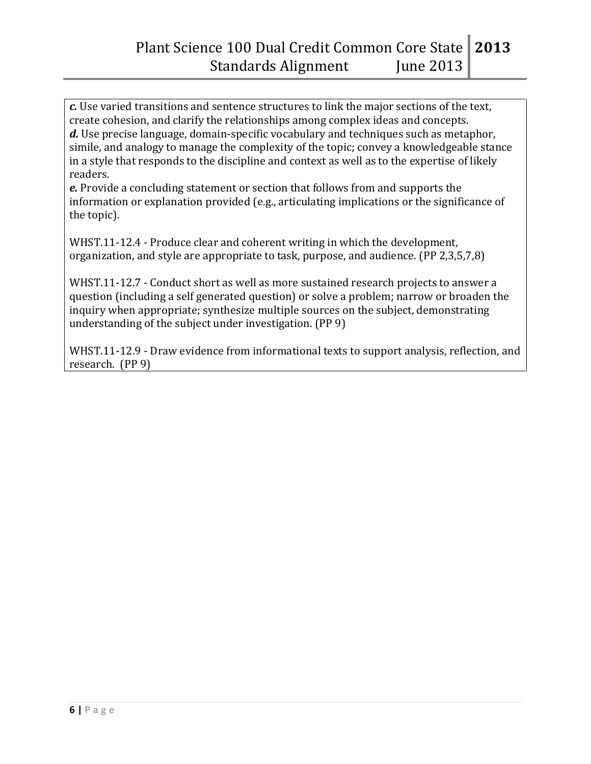*c.* Use varied transitions and sentence structures to link the major sections of the text, create cohesion, and clarify the relationships among complex ideas and concepts. *d.* Use precise language, domain-specific vocabulary and techniques such as metaphor, simile, and analogy to manage the complexity of the topic; convey a knowledgeable stance in a style that responds to the discipline and context as well as to the expertise of likely readers.

*e.* Provide a concluding statement or section that follows from and supports the information or explanation provided (e.g., articulating implications or the significance of the topic).

WHST.11-12.4 - Produce clear and coherent writing in which the development, organization, and style are appropriate to task, purpose, and audience. (PP 2,3,5,7,8)

WHST.11-12.7 - Conduct short as well as more sustained research projects to answer a question (including a self generated question) or solve a problem; narrow or broaden the inquiry when appropriate; synthesize multiple sources on the subject, demonstrating understanding of the subject under investigation. (PP 9)

WHST.11-12.9 - Draw evidence from informational texts to support analysis, reflection, and research. (PP 9)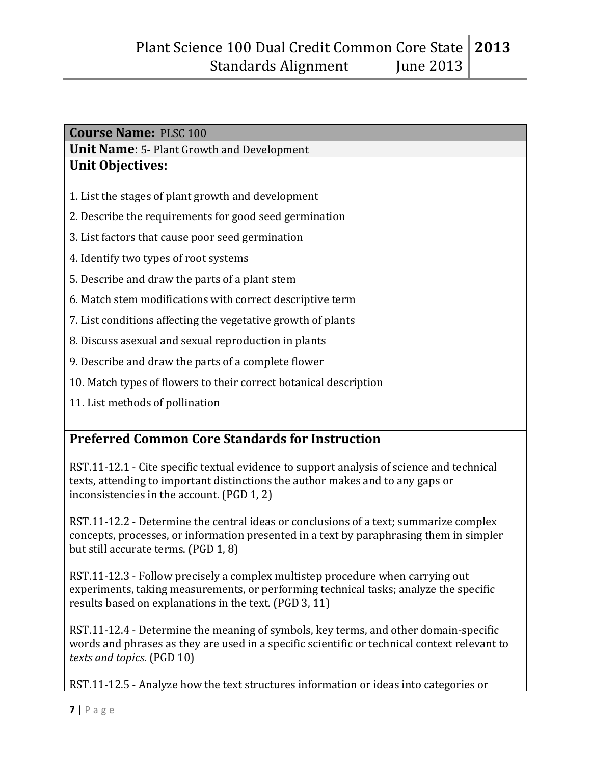### **Course Name:** PLSC 100 **Unit Name**: 5- Plant Growth and Development

### **Unit Objectives:**

- 1. List the stages of plant growth and development
- 2. Describe the requirements for good seed germination
- 3. List factors that cause poor seed germination
- 4. Identify two types of root systems
- 5. Describe and draw the parts of a plant stem
- 6. Match stem modifications with correct descriptive term
- 7. List conditions affecting the vegetative growth of plants
- 8. Discuss asexual and sexual reproduction in plants
- 9. Describe and draw the parts of a complete flower
- 10. Match types of flowers to their correct botanical description
- 11. List methods of pollination

### **Preferred Common Core Standards for Instruction**

RST.11-12.1 - Cite specific textual evidence to support analysis of science and technical texts, attending to important distinctions the author makes and to any gaps or inconsistencies in the account. (PGD 1, 2)

RST.11-12.2 - Determine the central ideas or conclusions of a text; summarize complex concepts, processes, or information presented in a text by paraphrasing them in simpler but still accurate terms. (PGD 1, 8)

RST.11-12.3 - Follow precisely a complex multistep procedure when carrying out experiments, taking measurements, or performing technical tasks; analyze the specific results based on explanations in the text. (PGD 3, 11)

RST.11-12.4 - Determine the meaning of symbols, key terms, and other domain-specific words and phrases as they are used in a specific scientific or technical context relevant to *texts and topics*. (PGD 10)

RST.11-12.5 - Analyze how the text structures information or ideas into categories or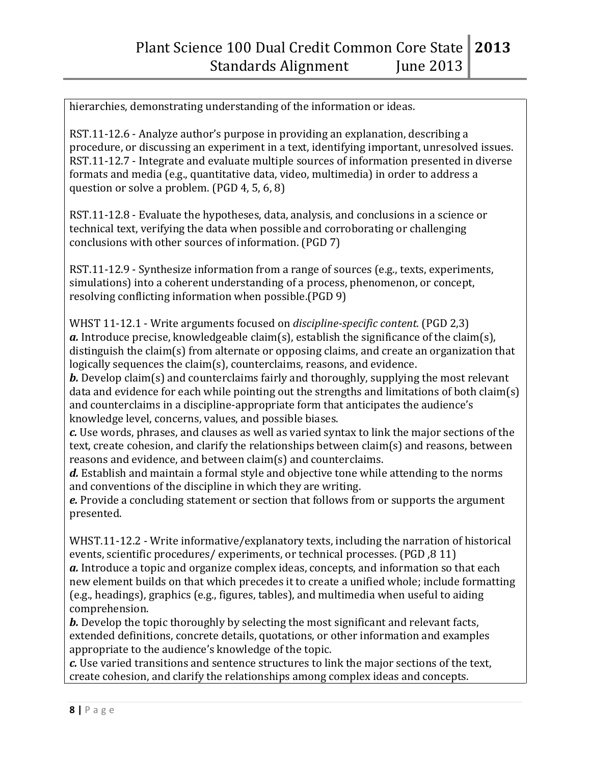hierarchies, demonstrating understanding of the information or ideas.

RST.11-12.6 - Analyze author's purpose in providing an explanation, describing a procedure, or discussing an experiment in a text, identifying important, unresolved issues. RST.11-12.7 - Integrate and evaluate multiple sources of information presented in diverse formats and media (e.g., quantitative data, video, multimedia) in order to address a question or solve a problem. (PGD 4, 5, 6, 8)

RST.11-12.8 - Evaluate the hypotheses, data, analysis, and conclusions in a science or technical text, verifying the data when possible and corroborating or challenging conclusions with other sources of information. (PGD 7)

RST.11-12.9 - Synthesize information from a range of sources (e.g., texts, experiments, simulations) into a coherent understanding of a process, phenomenon, or concept, resolving conflicting information when possible.(PGD 9)

WHST 11-12.1 - Write arguments focused on *discipline-specific content.* (PGD 2,3) *a.* Introduce precise, knowledgeable claim(s), establish the significance of the claim(s), distinguish the claim(s) from alternate or opposing claims, and create an organization that logically sequences the claim(s), counterclaims, reasons, and evidence.

*b.* Develop claim(s) and counterclaims fairly and thoroughly, supplying the most relevant data and evidence for each while pointing out the strengths and limitations of both claim(s) and counterclaims in a discipline-appropriate form that anticipates the audience's knowledge level, concerns, values, and possible biases.

*c.* Use words, phrases, and clauses as well as varied syntax to link the major sections of the text, create cohesion, and clarify the relationships between claim(s) and reasons, between reasons and evidence, and between claim(s) and counterclaims.

*d.* Establish and maintain a formal style and objective tone while attending to the norms and conventions of the discipline in which they are writing.

*e.* Provide a concluding statement or section that follows from or supports the argument presented.

WHST.11-12.2 - Write informative/explanatory texts, including the narration of historical events, scientific procedures/ experiments, or technical processes. (PGD ,8 11) *a.* Introduce a topic and organize complex ideas, concepts, and information so that each new element builds on that which precedes it to create a unified whole; include formatting (e.g., headings), graphics (e.g., figures, tables), and multimedia when useful to aiding comprehension.

*b.* Develop the topic thoroughly by selecting the most significant and relevant facts, extended definitions, concrete details, quotations, or other information and examples appropriate to the audience's knowledge of the topic.

*c.* Use varied transitions and sentence structures to link the major sections of the text, create cohesion, and clarify the relationships among complex ideas and concepts.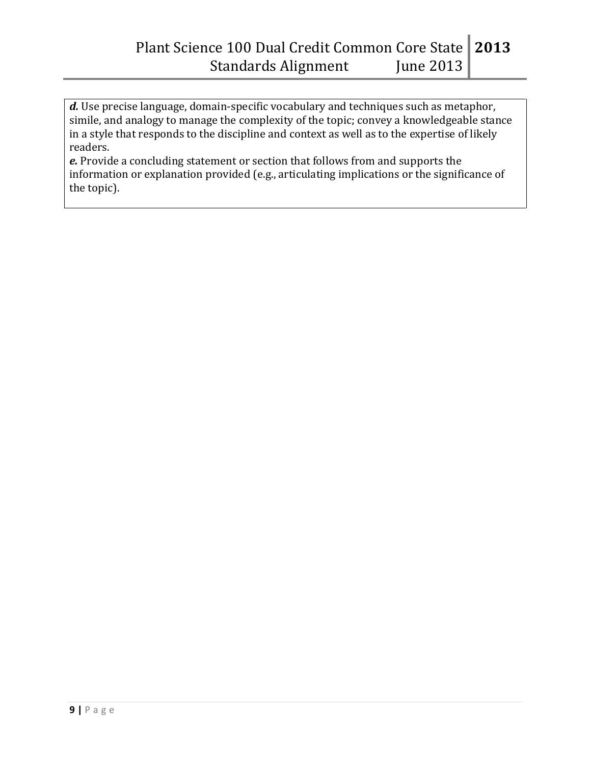*d.* Use precise language, domain-specific vocabulary and techniques such as metaphor, simile, and analogy to manage the complexity of the topic; convey a knowledgeable stance in a style that responds to the discipline and context as well as to the expertise of likely readers.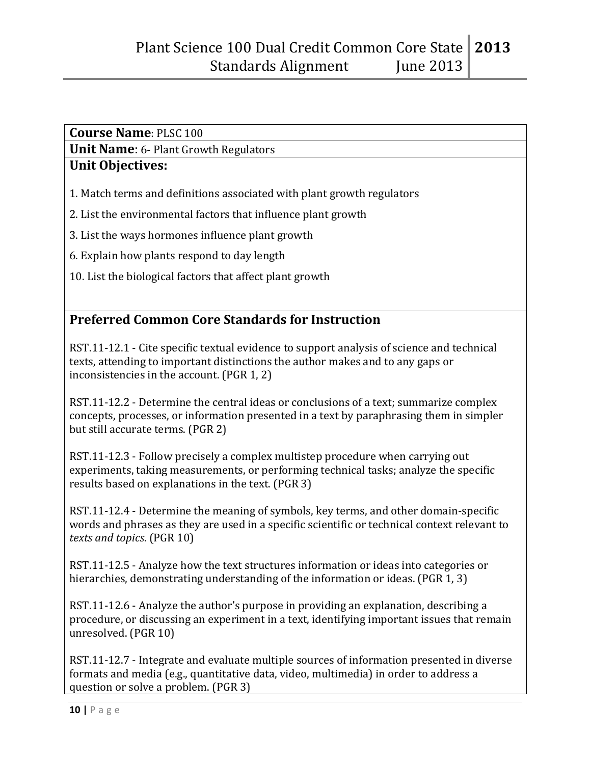### **Course Name**: PLSC 100 **Unit Name**: 6- Plant Growth Regulators **Unit Objectives:**

1. Match terms and definitions associated with plant growth regulators

2. List the environmental factors that influence plant growth

3. List the ways hormones influence plant growth

6. Explain how plants respond to day length

10. List the biological factors that affect plant growth

### **Preferred Common Core Standards for Instruction**

RST.11-12.1 - Cite specific textual evidence to support analysis of science and technical texts, attending to important distinctions the author makes and to any gaps or inconsistencies in the account. (PGR 1, 2)

RST.11-12.2 - Determine the central ideas or conclusions of a text; summarize complex concepts, processes, or information presented in a text by paraphrasing them in simpler but still accurate terms. (PGR 2)

RST.11-12.3 - Follow precisely a complex multistep procedure when carrying out experiments, taking measurements, or performing technical tasks; analyze the specific results based on explanations in the text. (PGR 3)

RST.11-12.4 - Determine the meaning of symbols, key terms, and other domain-specific words and phrases as they are used in a specific scientific or technical context relevant to *texts and topics*. (PGR 10)

RST.11-12.5 - Analyze how the text structures information or ideas into categories or hierarchies, demonstrating understanding of the information or ideas. (PGR 1, 3)

RST.11-12.6 - Analyze the author's purpose in providing an explanation, describing a procedure, or discussing an experiment in a text, identifying important issues that remain unresolved. (PGR 10)

RST.11-12.7 - Integrate and evaluate multiple sources of information presented in diverse formats and media (e.g., quantitative data, video, multimedia) in order to address a question or solve a problem. (PGR 3)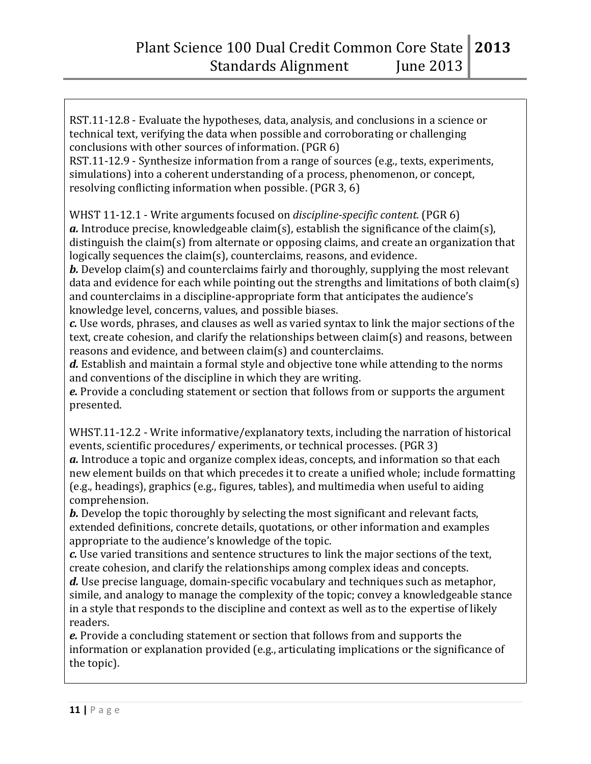| RST.11-12.8 - Evaluate the hypotheses, data, analysis, and conclusions in a science or<br>technical text, verifying the data when possible and corroborating or challenging<br>conclusions with other sources of information. (PGR 6)                                                                                                                                                                                                                                                                                                                                                                                                                                                                                                                                                                                                                                                                                                                                                                                                                                                                                                                                                                                                                   |
|---------------------------------------------------------------------------------------------------------------------------------------------------------------------------------------------------------------------------------------------------------------------------------------------------------------------------------------------------------------------------------------------------------------------------------------------------------------------------------------------------------------------------------------------------------------------------------------------------------------------------------------------------------------------------------------------------------------------------------------------------------------------------------------------------------------------------------------------------------------------------------------------------------------------------------------------------------------------------------------------------------------------------------------------------------------------------------------------------------------------------------------------------------------------------------------------------------------------------------------------------------|
| RST.11-12.9 - Synthesize information from a range of sources (e.g., texts, experiments,<br>simulations) into a coherent understanding of a process, phenomenon, or concept,<br>resolving conflicting information when possible. (PGR 3, 6)                                                                                                                                                                                                                                                                                                                                                                                                                                                                                                                                                                                                                                                                                                                                                                                                                                                                                                                                                                                                              |
| WHST 11-12.1 - Write arguments focused on <i>discipline-specific content.</i> (PGR 6)<br>$a$ . Introduce precise, knowledgeable claim(s), establish the significance of the claim(s),<br>distinguish the claim(s) from alternate or opposing claims, and create an organization that<br>logically sequences the claim(s), counterclaims, reasons, and evidence.<br>$b$ . Develop claim(s) and counterclaims fairly and thoroughly, supplying the most relevant<br>data and evidence for each while pointing out the strengths and limitations of both claim(s)<br>and counterclaims in a discipline-appropriate form that anticipates the audience's<br>knowledge level, concerns, values, and possible biases.<br>$c$ . Use words, phrases, and clauses as well as varied syntax to link the major sections of the<br>text, create cohesion, and clarify the relationships between claim(s) and reasons, between<br>reasons and evidence, and between claim(s) and counterclaims.<br>d. Establish and maintain a formal style and objective tone while attending to the norms<br>and conventions of the discipline in which they are writing.<br>e. Provide a concluding statement or section that follows from or supports the argument<br>presented. |
| WHST.11-12.2 - Write informative/explanatory texts, including the narration of historical<br>events, scientific procedures/experiments, or technical processes. (PGR 3)<br>a. Introduce a topic and organize complex ideas, concepts, and information so that each<br>new element builds on that which precedes it to create a unified whole; include formatting<br>(e.g., headings), graphics (e.g., figures, tables), and multimedia when useful to aiding<br>comprehension.<br>b. Develop the topic thoroughly by selecting the most significant and relevant facts,<br>extended definitions, concrete details, quotations, or other information and examples<br>appropriate to the audience's knowledge of the topic.<br>$c$ . Use varied transitions and sentence structures to link the major sections of the text,<br>create cohesion, and clarify the relationships among complex ideas and concepts.<br>d. Use precise language, domain-specific vocabulary and techniques such as metaphor,<br>simile, and analogy to manage the complexity of the topic; convey a knowledgeable stance<br>in a style that responds to the discipline and context as well as to the expertise of likely<br>readers.                                           |
| e. Provide a concluding statement or section that follows from and supports the                                                                                                                                                                                                                                                                                                                                                                                                                                                                                                                                                                                                                                                                                                                                                                                                                                                                                                                                                                                                                                                                                                                                                                         |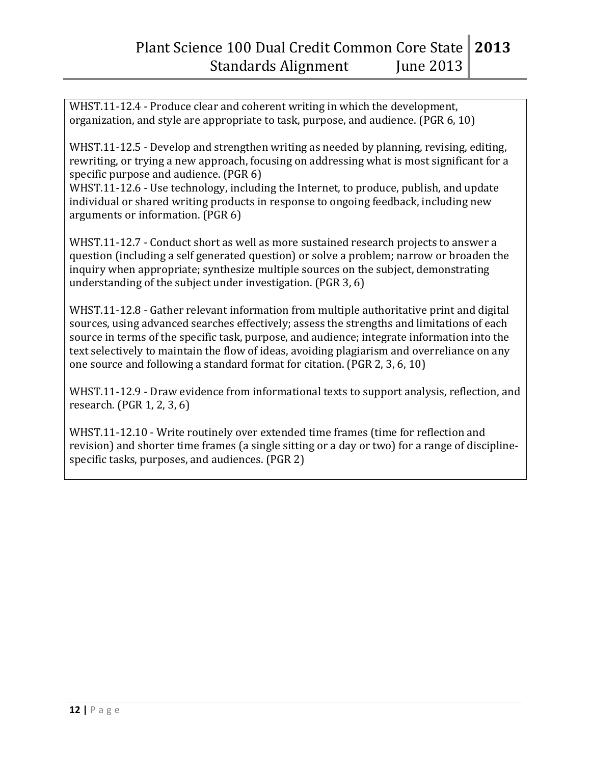WHST.11-12.4 - Produce clear and coherent writing in which the development, organization, and style are appropriate to task, purpose, and audience. (PGR 6, 10)

WHST.11-12.5 - Develop and strengthen writing as needed by planning, revising, editing, rewriting, or trying a new approach, focusing on addressing what is most significant for a specific purpose and audience. (PGR 6)

WHST.11-12.6 - Use technology, including the Internet, to produce, publish, and update individual or shared writing products in response to ongoing feedback, including new arguments or information. (PGR 6)

WHST.11-12.7 - Conduct short as well as more sustained research projects to answer a question (including a self generated question) or solve a problem; narrow or broaden the inquiry when appropriate; synthesize multiple sources on the subject, demonstrating understanding of the subject under investigation. (PGR 3, 6)

WHST.11-12.8 - Gather relevant information from multiple authoritative print and digital sources, using advanced searches effectively; assess the strengths and limitations of each source in terms of the specific task, purpose, and audience; integrate information into the text selectively to maintain the flow of ideas, avoiding plagiarism and overreliance on any one source and following a standard format for citation. (PGR 2, 3, 6, 10)

WHST.11-12.9 - Draw evidence from informational texts to support analysis, reflection, and research. (PGR 1, 2, 3, 6)

WHST.11-12.10 - Write routinely over extended time frames (time for reflection and revision) and shorter time frames (a single sitting or a day or two) for a range of disciplinespecific tasks, purposes, and audiences. (PGR 2)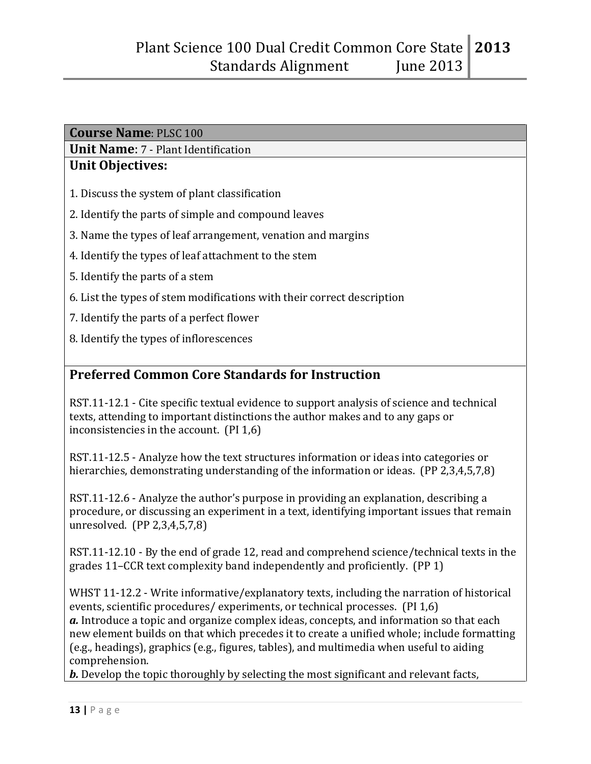## **Course Name**: PLSC 100

**Unit Name**: 7 - Plant Identification **Unit Objectives:**

- 1. Discuss the system of plant classification
- 2. Identify the parts of simple and compound leaves
- 3. Name the types of leaf arrangement, venation and margins
- 4. Identify the types of leaf attachment to the stem
- 5. Identify the parts of a stem
- 6. List the types of stem modifications with their correct description
- 7. Identify the parts of a perfect flower
- 8. Identify the types of inflorescences

### **Preferred Common Core Standards for Instruction**

RST.11-12.1 - Cite specific textual evidence to support analysis of science and technical texts, attending to important distinctions the author makes and to any gaps or inconsistencies in the account. (PI 1,6)

RST.11-12.5 - Analyze how the text structures information or ideas into categories or hierarchies, demonstrating understanding of the information or ideas. (PP 2,3,4,5,7,8)

RST.11-12.6 - Analyze the author's purpose in providing an explanation, describing a procedure, or discussing an experiment in a text, identifying important issues that remain unresolved. (PP 2,3,4,5,7,8)

RST.11-12.10 - By the end of grade 12, read and comprehend science/technical texts in the grades 11–CCR text complexity band independently and proficiently. (PP 1)

WHST 11-12.2 - Write informative/explanatory texts, including the narration of historical events, scientific procedures/ experiments, or technical processes. (PI 1,6) *a.* Introduce a topic and organize complex ideas, concepts, and information so that each new element builds on that which precedes it to create a unified whole; include formatting (e.g., headings), graphics (e.g., figures, tables), and multimedia when useful to aiding comprehension.

*b.* Develop the topic thoroughly by selecting the most significant and relevant facts,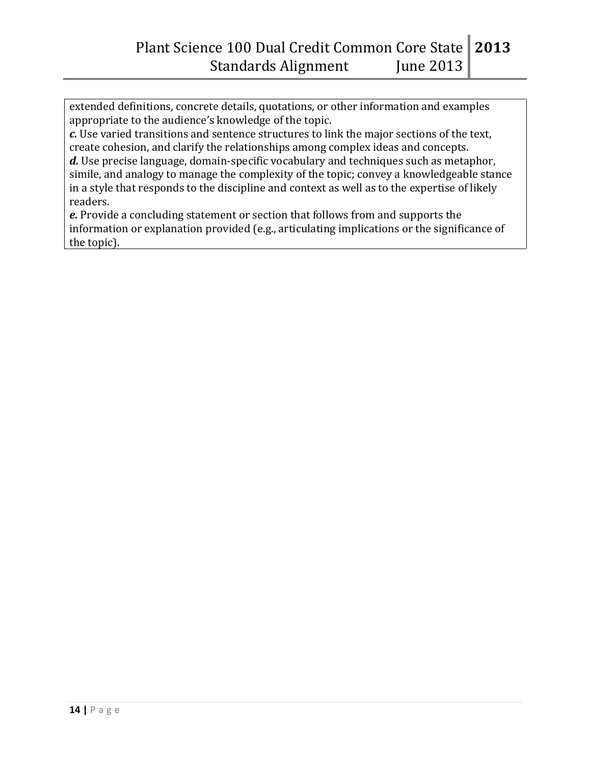extended definitions, concrete details, quotations, or other information and examples appropriate to the audience's knowledge of the topic.

*c.* Use varied transitions and sentence structures to link the major sections of the text, create cohesion, and clarify the relationships among complex ideas and concepts.

*d.* Use precise language, domain-specific vocabulary and techniques such as metaphor, simile, and analogy to manage the complexity of the topic; convey a knowledgeable stance in a style that responds to the discipline and context as well as to the expertise of likely readers.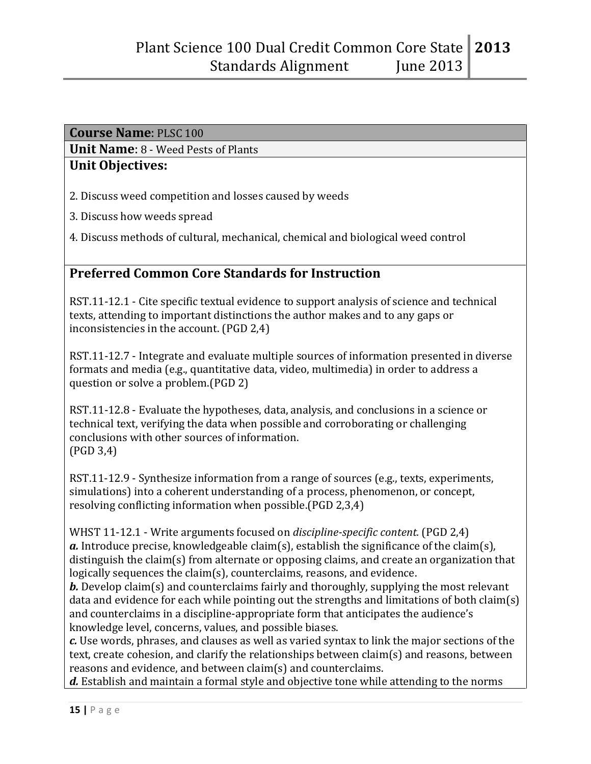### **Course Name**: PLSC 100 **Unit Name**: 8 - Weed Pests of Plants

### **Unit Objectives:**

- 2. Discuss weed competition and losses caused by weeds
- 3. Discuss how weeds spread
- 4. Discuss methods of cultural, mechanical, chemical and biological weed control

### **Preferred Common Core Standards for Instruction**

RST.11-12.1 - Cite specific textual evidence to support analysis of science and technical texts, attending to important distinctions the author makes and to any gaps or inconsistencies in the account. (PGD 2,4)

RST.11-12.7 - Integrate and evaluate multiple sources of information presented in diverse formats and media (e.g., quantitative data, video, multimedia) in order to address a question or solve a problem.(PGD 2)

RST.11-12.8 - Evaluate the hypotheses, data, analysis, and conclusions in a science or technical text, verifying the data when possible and corroborating or challenging conclusions with other sources of information. (PGD 3,4)

RST.11-12.9 - Synthesize information from a range of sources (e.g., texts, experiments, simulations) into a coherent understanding of a process, phenomenon, or concept, resolving conflicting information when possible.(PGD 2,3,4)

WHST 11-12.1 - Write arguments focused on *discipline-specific content.* (PGD 2,4) *a.* Introduce precise, knowledgeable claim(s), establish the significance of the claim(s), distinguish the claim(s) from alternate or opposing claims, and create an organization that logically sequences the claim(s), counterclaims, reasons, and evidence.

*b.* Develop claim(s) and counterclaims fairly and thoroughly, supplying the most relevant data and evidence for each while pointing out the strengths and limitations of both claim(s) and counterclaims in a discipline-appropriate form that anticipates the audience's knowledge level, concerns, values, and possible biases.

*c.* Use words, phrases, and clauses as well as varied syntax to link the major sections of the text, create cohesion, and clarify the relationships between claim(s) and reasons, between reasons and evidence, and between claim(s) and counterclaims.

*d.* Establish and maintain a formal style and objective tone while attending to the norms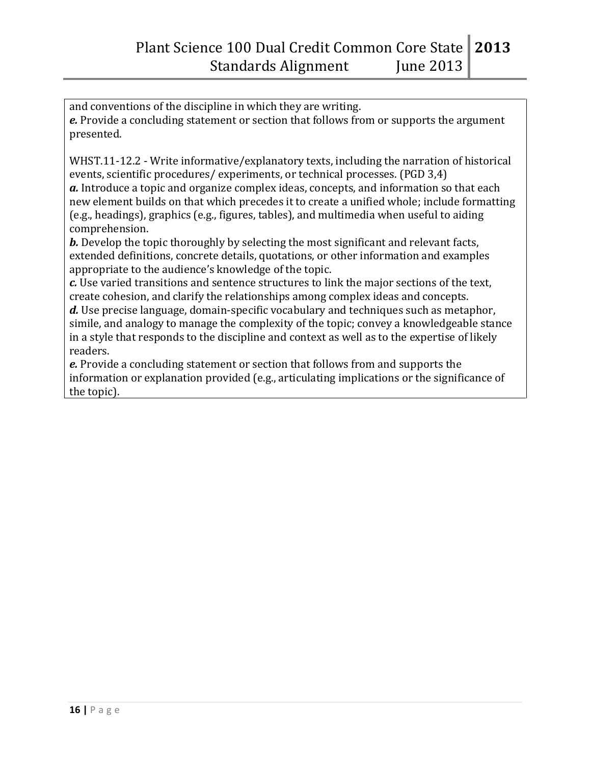and conventions of the discipline in which they are writing. *e.* Provide a concluding statement or section that follows from or supports the argument presented.

WHST.11-12.2 - Write informative/explanatory texts, including the narration of historical events, scientific procedures/ experiments, or technical processes. (PGD 3,4)

*a.* Introduce a topic and organize complex ideas, concepts, and information so that each new element builds on that which precedes it to create a unified whole; include formatting (e.g., headings), graphics (e.g., figures, tables), and multimedia when useful to aiding comprehension.

*b.* Develop the topic thoroughly by selecting the most significant and relevant facts, extended definitions, concrete details, quotations, or other information and examples appropriate to the audience's knowledge of the topic.

*c.* Use varied transitions and sentence structures to link the major sections of the text, create cohesion, and clarify the relationships among complex ideas and concepts.

*d.* Use precise language, domain-specific vocabulary and techniques such as metaphor, simile, and analogy to manage the complexity of the topic; convey a knowledgeable stance in a style that responds to the discipline and context as well as to the expertise of likely readers.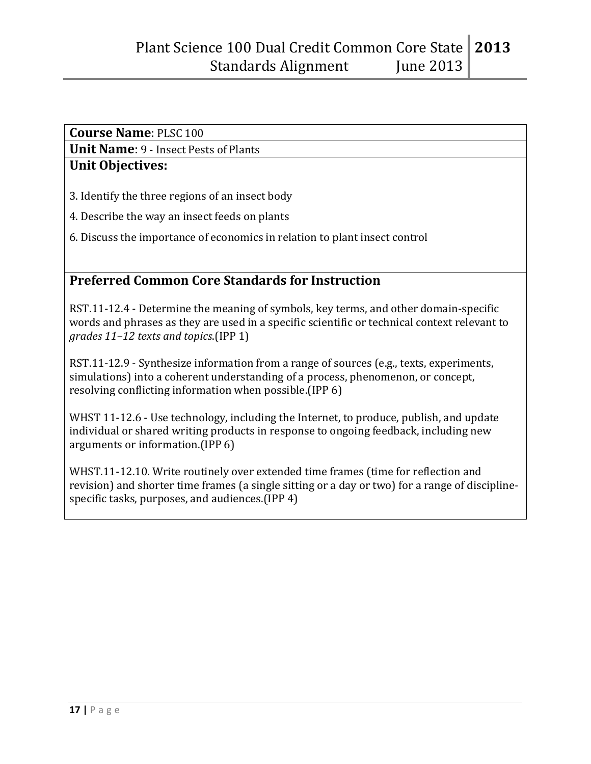| <b>Course Name: PLSC 100</b>                 |
|----------------------------------------------|
| <b>Unit Name: 9 - Insect Pests of Plants</b> |
| <b>Unit Objectives:</b>                      |

- 3. Identify the three regions of an insect body
- 4. Describe the way an insect feeds on plants
- 6. Discuss the importance of economics in relation to plant insect control

### **Preferred Common Core Standards for Instruction**

RST.11-12.4 - Determine the meaning of symbols, key terms, and other domain-specific words and phrases as they are used in a specific scientific or technical context relevant to *grades 11–12 texts and topics*.(IPP 1)

RST.11-12.9 - Synthesize information from a range of sources (e.g., texts, experiments, simulations) into a coherent understanding of a process, phenomenon, or concept, resolving conflicting information when possible.(IPP 6)

WHST 11-12.6 - Use technology, including the Internet, to produce, publish, and update individual or shared writing products in response to ongoing feedback, including new arguments or information.(IPP 6)

WHST.11-12.10. Write routinely over extended time frames (time for reflection and revision) and shorter time frames (a single sitting or a day or two) for a range of disciplinespecific tasks, purposes, and audiences.(IPP 4)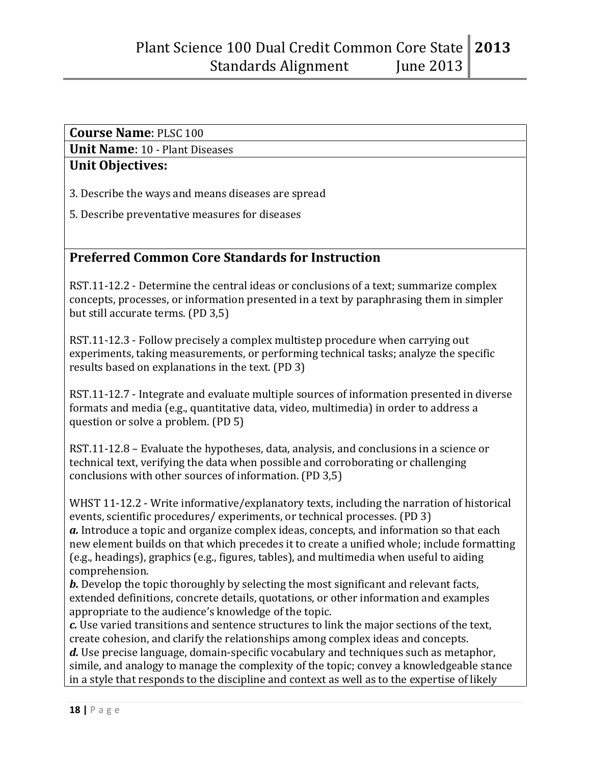### **Course Name**: PLSC 100 **Unit Name**: 10 - Plant Diseases **Unit Objectives:**

- 3. Describe the ways and means diseases are spread
- 5. Describe preventative measures for diseases

### **Preferred Common Core Standards for Instruction**

RST.11-12.2 - Determine the central ideas or conclusions of a text; summarize complex concepts, processes, or information presented in a text by paraphrasing them in simpler but still accurate terms. (PD 3,5)

RST.11-12.3 - Follow precisely a complex multistep procedure when carrying out experiments, taking measurements, or performing technical tasks; analyze the specific results based on explanations in the text. (PD 3)

RST.11-12.7 - Integrate and evaluate multiple sources of information presented in diverse formats and media (e.g., quantitative data, video, multimedia) in order to address a question or solve a problem. (PD 5)

RST.11-12.8 – Evaluate the hypotheses, data, analysis, and conclusions in a science or technical text, verifying the data when possible and corroborating or challenging conclusions with other sources of information. (PD 3,5)

WHST 11-12.2 - Write informative/explanatory texts, including the narration of historical events, scientific procedures/ experiments, or technical processes. (PD 3) *a.* Introduce a topic and organize complex ideas, concepts, and information so that each new element builds on that which precedes it to create a unified whole; include formatting (e.g., headings), graphics (e.g., figures, tables), and multimedia when useful to aiding comprehension.

*b*. Develop the topic thoroughly by selecting the most significant and relevant facts, extended definitions, concrete details, quotations, or other information and examples appropriate to the audience's knowledge of the topic.

*c.* Use varied transitions and sentence structures to link the major sections of the text, create cohesion, and clarify the relationships among complex ideas and concepts.

*d.* Use precise language, domain-specific vocabulary and techniques such as metaphor, simile, and analogy to manage the complexity of the topic; convey a knowledgeable stance in a style that responds to the discipline and context as well as to the expertise of likely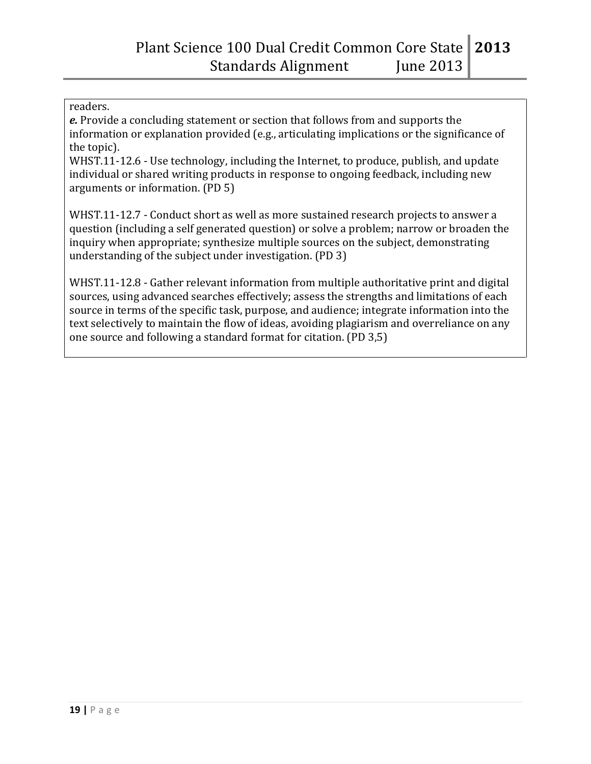#### readers.

*e.* Provide a concluding statement or section that follows from and supports the information or explanation provided (e.g., articulating implications or the significance of the topic).

WHST.11-12.6 - Use technology, including the Internet, to produce, publish, and update individual or shared writing products in response to ongoing feedback, including new arguments or information. (PD 5)

WHST.11-12.7 - Conduct short as well as more sustained research projects to answer a question (including a self generated question) or solve a problem; narrow or broaden the inquiry when appropriate; synthesize multiple sources on the subject, demonstrating understanding of the subject under investigation. (PD 3)

WHST.11-12.8 - Gather relevant information from multiple authoritative print and digital sources, using advanced searches effectively; assess the strengths and limitations of each source in terms of the specific task, purpose, and audience; integrate information into the text selectively to maintain the flow of ideas, avoiding plagiarism and overreliance on any one source and following a standard format for citation. (PD 3,5)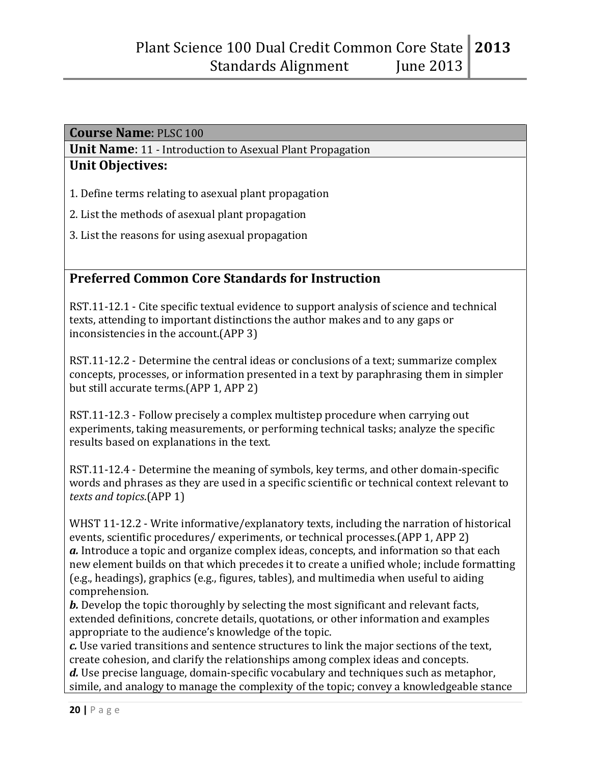# **Course Name**: PLSC 100

### **Unit Name**: 11 - Introduction to Asexual Plant Propagation **Unit Objectives:**

- 1. Define terms relating to asexual plant propagation
- 2. List the methods of asexual plant propagation
- 3. List the reasons for using asexual propagation

### **Preferred Common Core Standards for Instruction**

RST.11-12.1 - Cite specific textual evidence to support analysis of science and technical texts, attending to important distinctions the author makes and to any gaps or inconsistencies in the account.(APP 3)

RST.11-12.2 - Determine the central ideas or conclusions of a text; summarize complex concepts, processes, or information presented in a text by paraphrasing them in simpler but still accurate terms.(APP 1, APP 2)

RST.11-12.3 - Follow precisely a complex multistep procedure when carrying out experiments, taking measurements, or performing technical tasks; analyze the specific results based on explanations in the text.

RST.11-12.4 - Determine the meaning of symbols, key terms, and other domain-specific words and phrases as they are used in a specific scientific or technical context relevant to *texts and topics*.(APP 1)

WHST 11-12.2 - Write informative/explanatory texts, including the narration of historical events, scientific procedures/ experiments, or technical processes.(APP 1, APP 2) *a.* Introduce a topic and organize complex ideas, concepts, and information so that each new element builds on that which precedes it to create a unified whole; include formatting (e.g., headings), graphics (e.g., figures, tables), and multimedia when useful to aiding comprehension.

*b*. Develop the topic thoroughly by selecting the most significant and relevant facts, extended definitions, concrete details, quotations, or other information and examples appropriate to the audience's knowledge of the topic.

*c.* Use varied transitions and sentence structures to link the major sections of the text, create cohesion, and clarify the relationships among complex ideas and concepts.

*d.* Use precise language, domain-specific vocabulary and techniques such as metaphor, simile, and analogy to manage the complexity of the topic; convey a knowledgeable stance